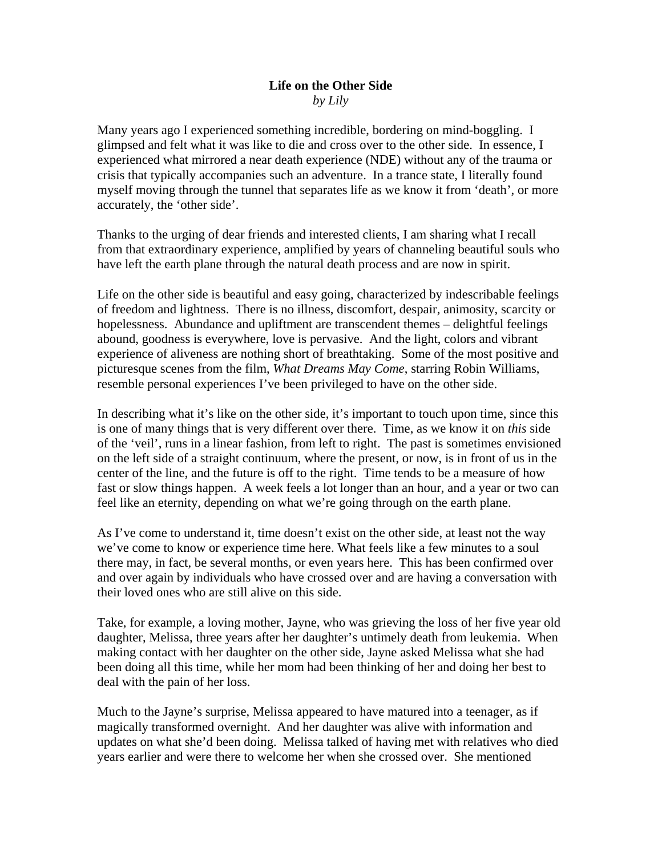## **Life on the Other Side**  *by Lily*

Many years ago I experienced something incredible, bordering on mind-boggling. I glimpsed and felt what it was like to die and cross over to the other side. In essence, I experienced what mirrored a near death experience (NDE) without any of the trauma or crisis that typically accompanies such an adventure. In a trance state, I literally found myself moving through the tunnel that separates life as we know it from 'death', or more accurately, the 'other side'.

Thanks to the urging of dear friends and interested clients, I am sharing what I recall from that extraordinary experience, amplified by years of channeling beautiful souls who have left the earth plane through the natural death process and are now in spirit.

Life on the other side is beautiful and easy going, characterized by indescribable feelings of freedom and lightness. There is no illness, discomfort, despair, animosity, scarcity or hopelessness. Abundance and upliftment are transcendent themes – delightful feelings abound, goodness is everywhere, love is pervasive. And the light, colors and vibrant experience of aliveness are nothing short of breathtaking. Some of the most positive and picturesque scenes from the film, *What Dreams May Come*, starring Robin Williams, resemble personal experiences I've been privileged to have on the other side.

In describing what it's like on the other side, it's important to touch upon time, since this is one of many things that is very different over there. Time, as we know it on *this* side of the 'veil', runs in a linear fashion, from left to right. The past is sometimes envisioned on the left side of a straight continuum, where the present, or now, is in front of us in the center of the line, and the future is off to the right. Time tends to be a measure of how fast or slow things happen. A week feels a lot longer than an hour, and a year or two can feel like an eternity, depending on what we're going through on the earth plane.

As I've come to understand it, time doesn't exist on the other side, at least not the way we've come to know or experience time here. What feels like a few minutes to a soul there may, in fact, be several months, or even years here. This has been confirmed over and over again by individuals who have crossed over and are having a conversation with their loved ones who are still alive on this side.

Take, for example, a loving mother, Jayne, who was grieving the loss of her five year old daughter, Melissa, three years after her daughter's untimely death from leukemia. When making contact with her daughter on the other side, Jayne asked Melissa what she had been doing all this time, while her mom had been thinking of her and doing her best to deal with the pain of her loss.

Much to the Jayne's surprise, Melissa appeared to have matured into a teenager, as if magically transformed overnight. And her daughter was alive with information and updates on what she'd been doing. Melissa talked of having met with relatives who died years earlier and were there to welcome her when she crossed over. She mentioned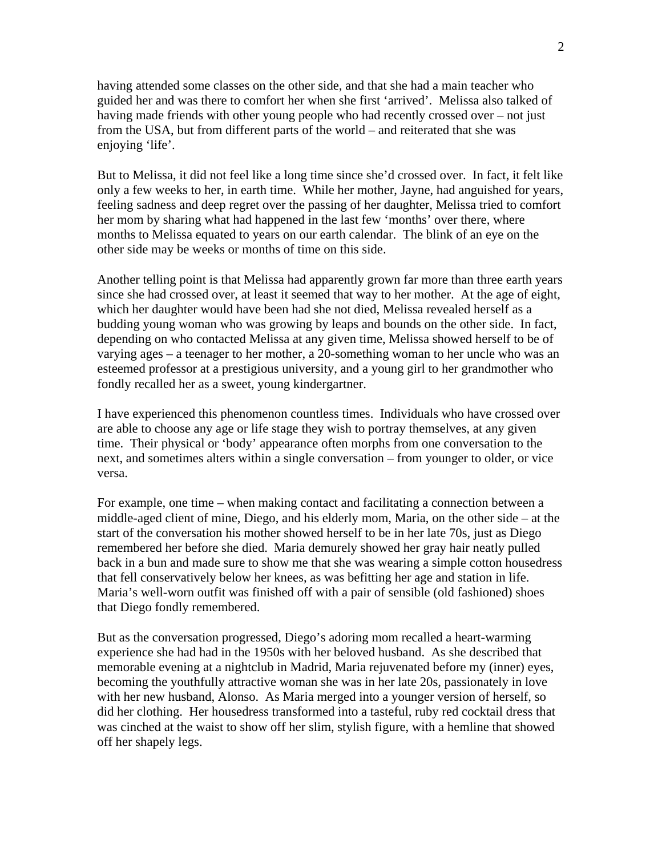having attended some classes on the other side, and that she had a main teacher who guided her and was there to comfort her when she first 'arrived'. Melissa also talked of having made friends with other young people who had recently crossed over – not just from the USA, but from different parts of the world – and reiterated that she was enjoying 'life'.

But to Melissa, it did not feel like a long time since she'd crossed over. In fact, it felt like only a few weeks to her, in earth time. While her mother, Jayne, had anguished for years, feeling sadness and deep regret over the passing of her daughter, Melissa tried to comfort her mom by sharing what had happened in the last few 'months' over there, where months to Melissa equated to years on our earth calendar. The blink of an eye on the other side may be weeks or months of time on this side.

Another telling point is that Melissa had apparently grown far more than three earth years since she had crossed over, at least it seemed that way to her mother. At the age of eight, which her daughter would have been had she not died, Melissa revealed herself as a budding young woman who was growing by leaps and bounds on the other side. In fact, depending on who contacted Melissa at any given time, Melissa showed herself to be of varying ages – a teenager to her mother, a 20-something woman to her uncle who was an esteemed professor at a prestigious university, and a young girl to her grandmother who fondly recalled her as a sweet, young kindergartner.

I have experienced this phenomenon countless times. Individuals who have crossed over are able to choose any age or life stage they wish to portray themselves, at any given time. Their physical or 'body' appearance often morphs from one conversation to the next, and sometimes alters within a single conversation – from younger to older, or vice versa.

For example, one time – when making contact and facilitating a connection between a middle-aged client of mine, Diego, and his elderly mom, Maria, on the other side – at the start of the conversation his mother showed herself to be in her late 70s, just as Diego remembered her before she died. Maria demurely showed her gray hair neatly pulled back in a bun and made sure to show me that she was wearing a simple cotton housedress that fell conservatively below her knees, as was befitting her age and station in life. Maria's well-worn outfit was finished off with a pair of sensible (old fashioned) shoes that Diego fondly remembered.

But as the conversation progressed, Diego's adoring mom recalled a heart-warming experience she had had in the 1950s with her beloved husband. As she described that memorable evening at a nightclub in Madrid, Maria rejuvenated before my (inner) eyes, becoming the youthfully attractive woman she was in her late 20s, passionately in love with her new husband, Alonso. As Maria merged into a younger version of herself, so did her clothing. Her housedress transformed into a tasteful, ruby red cocktail dress that was cinched at the waist to show off her slim, stylish figure, with a hemline that showed off her shapely legs.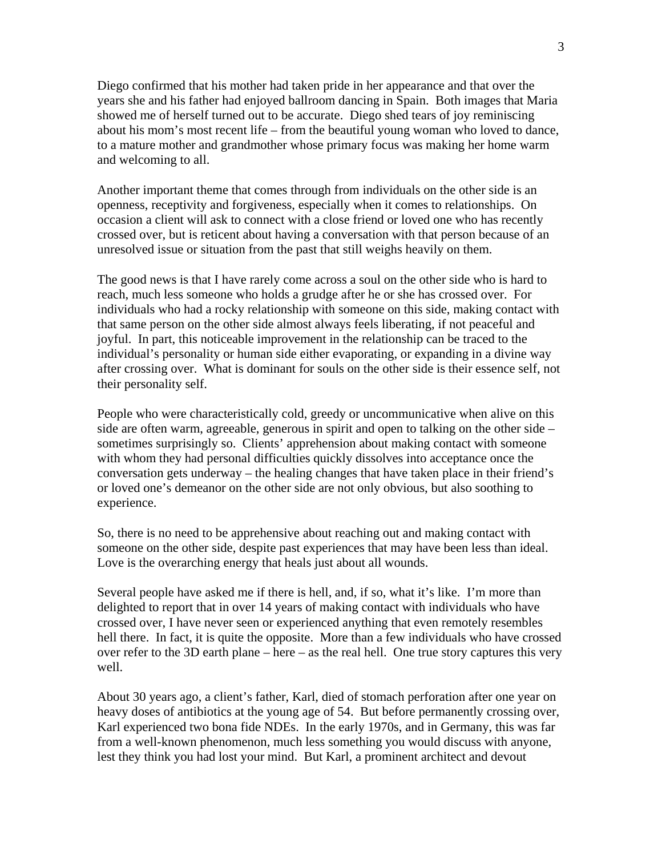Diego confirmed that his mother had taken pride in her appearance and that over the years she and his father had enjoyed ballroom dancing in Spain. Both images that Maria showed me of herself turned out to be accurate. Diego shed tears of joy reminiscing about his mom's most recent life – from the beautiful young woman who loved to dance, to a mature mother and grandmother whose primary focus was making her home warm and welcoming to all.

Another important theme that comes through from individuals on the other side is an openness, receptivity and forgiveness, especially when it comes to relationships. On occasion a client will ask to connect with a close friend or loved one who has recently crossed over, but is reticent about having a conversation with that person because of an unresolved issue or situation from the past that still weighs heavily on them.

The good news is that I have rarely come across a soul on the other side who is hard to reach, much less someone who holds a grudge after he or she has crossed over. For individuals who had a rocky relationship with someone on this side, making contact with that same person on the other side almost always feels liberating, if not peaceful and joyful. In part, this noticeable improvement in the relationship can be traced to the individual's personality or human side either evaporating, or expanding in a divine way after crossing over. What is dominant for souls on the other side is their essence self, not their personality self.

People who were characteristically cold, greedy or uncommunicative when alive on this side are often warm, agreeable, generous in spirit and open to talking on the other side – sometimes surprisingly so. Clients' apprehension about making contact with someone with whom they had personal difficulties quickly dissolves into acceptance once the conversation gets underway – the healing changes that have taken place in their friend's or loved one's demeanor on the other side are not only obvious, but also soothing to experience.

So, there is no need to be apprehensive about reaching out and making contact with someone on the other side, despite past experiences that may have been less than ideal. Love is the overarching energy that heals just about all wounds.

Several people have asked me if there is hell, and, if so, what it's like. I'm more than delighted to report that in over 14 years of making contact with individuals who have crossed over, I have never seen or experienced anything that even remotely resembles hell there. In fact, it is quite the opposite. More than a few individuals who have crossed over refer to the 3D earth plane – here – as the real hell. One true story captures this very well.

About 30 years ago, a client's father, Karl, died of stomach perforation after one year on heavy doses of antibiotics at the young age of 54. But before permanently crossing over, Karl experienced two bona fide NDEs. In the early 1970s, and in Germany, this was far from a well-known phenomenon, much less something you would discuss with anyone, lest they think you had lost your mind. But Karl, a prominent architect and devout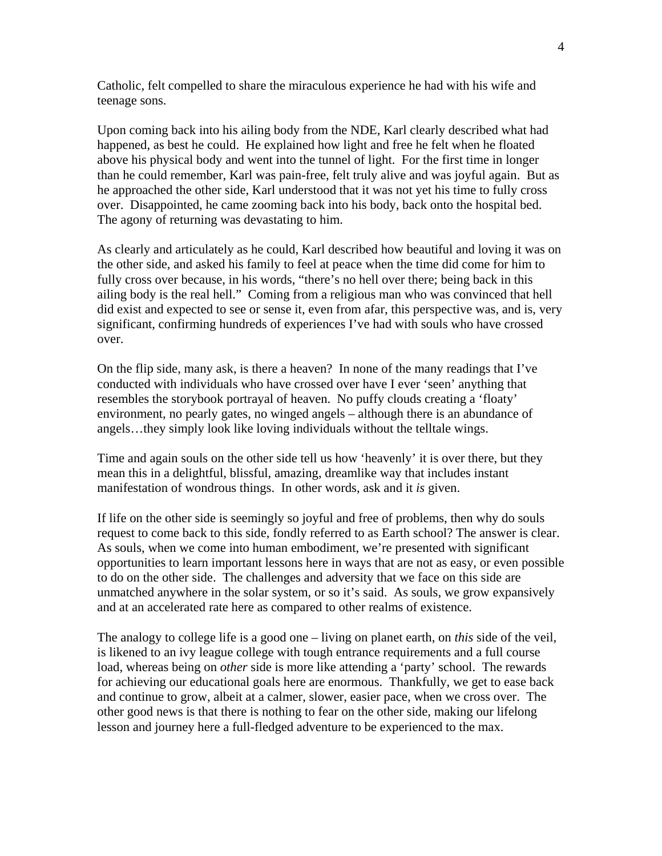Catholic, felt compelled to share the miraculous experience he had with his wife and teenage sons.

Upon coming back into his ailing body from the NDE, Karl clearly described what had happened, as best he could. He explained how light and free he felt when he floated above his physical body and went into the tunnel of light. For the first time in longer than he could remember, Karl was pain-free, felt truly alive and was joyful again. But as he approached the other side, Karl understood that it was not yet his time to fully cross over. Disappointed, he came zooming back into his body, back onto the hospital bed. The agony of returning was devastating to him.

As clearly and articulately as he could, Karl described how beautiful and loving it was on the other side, and asked his family to feel at peace when the time did come for him to fully cross over because, in his words, "there's no hell over there; being back in this ailing body is the real hell." Coming from a religious man who was convinced that hell did exist and expected to see or sense it, even from afar, this perspective was, and is, very significant, confirming hundreds of experiences I've had with souls who have crossed over.

On the flip side, many ask, is there a heaven? In none of the many readings that I've conducted with individuals who have crossed over have I ever 'seen' anything that resembles the storybook portrayal of heaven. No puffy clouds creating a 'floaty' environment, no pearly gates, no winged angels – although there is an abundance of angels…they simply look like loving individuals without the telltale wings.

Time and again souls on the other side tell us how 'heavenly' it is over there, but they mean this in a delightful, blissful, amazing, dreamlike way that includes instant manifestation of wondrous things. In other words, ask and it *is* given.

If life on the other side is seemingly so joyful and free of problems, then why do souls request to come back to this side, fondly referred to as Earth school? The answer is clear. As souls, when we come into human embodiment, we're presented with significant opportunities to learn important lessons here in ways that are not as easy, or even possible to do on the other side. The challenges and adversity that we face on this side are unmatched anywhere in the solar system, or so it's said. As souls, we grow expansively and at an accelerated rate here as compared to other realms of existence.

The analogy to college life is a good one – living on planet earth, on *this* side of the veil, is likened to an ivy league college with tough entrance requirements and a full course load, whereas being on *other* side is more like attending a 'party' school. The rewards for achieving our educational goals here are enormous. Thankfully, we get to ease back and continue to grow, albeit at a calmer, slower, easier pace, when we cross over. The other good news is that there is nothing to fear on the other side, making our lifelong lesson and journey here a full-fledged adventure to be experienced to the max.